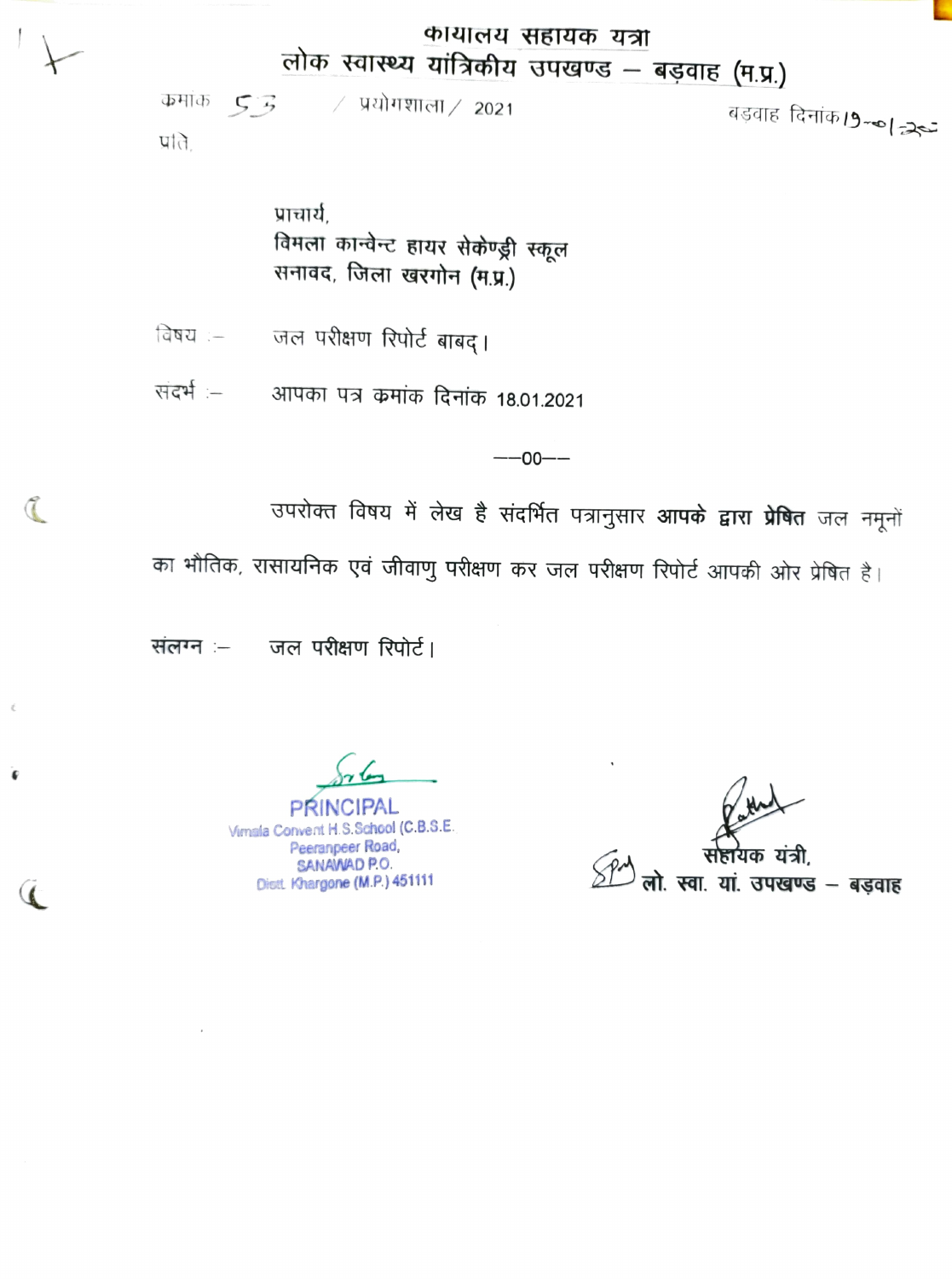## कायालय सहायक यंत्रा लोक स्वास्थ्य यांत्रिकीय उपखण्ड - बड़वाह (म.प्र.)

 $\angle$  प्रयोगशाला $\angle$  2021  $\Phi$ मांक  $53$ बड़वाह दिनांक19-का न्रेच प्रति.

> प्राचार्य. विमला कान्वेन्ट हायर सेकेण्ड्री स्कूल सनावद, जिला खरगोन (म.प्र.)

जल परीक्षण रिपोर्ट बाबद्। विषय $:=$ 

संदर्भ :-आपका पत्र कमांक दिनांक 18.01.2021

 $- -00 - -$ 

उपरोक्त विषय में लेख है संदर्भित पत्रानुसार **आपके द्वारा प्रेषि**त जल नमूनों

का भौतिक, रासायनिक एवं जीवाणु परीक्षण कर जल परीक्षण रिपोर्ट आपकी ओर प्रेषित है।

संलग्न :- जल परीक्षण रिपोर्ट।

 $\mathcal{I}$ 

Virnala Convent H.S.School (C.B.S.E. Peeranpeer Road, SANAWAD P.O. Diett Khargone (M.P.) 451111

यां. उपखण्ड – बड़वाह